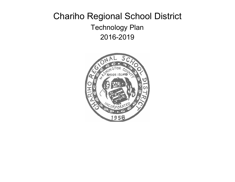# Chariho Regional School District Technology Plan 2016-2019

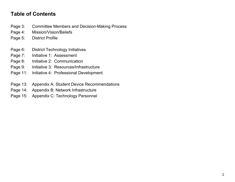### **Table of Contents**

- Page 3: Committee Members and Decision-Making Process
- Page 4: Mission/Vision/Beliefs
- Page 5: District Profile
- Page 6: District Technology Initiatives
- Page 7: Initiative 1: Assessment
- Page 8: Initiative 2: Communication
- Page 9: Initiative 3: Resources/Infrastructure
- Page 11: Initiative 4: Professional Development
- Page 13: Appendix A: Student Device Recommendations
- Page 14: Appendix B: Network Infrastructure
- Page 15: Appendix C: Technology Personnel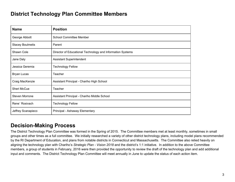### **District Technology Plan Committee Members**

| <b>Name</b>             | <b>Position</b>                                            |
|-------------------------|------------------------------------------------------------|
| George Abbott           | <b>School Committee Member</b>                             |
| <b>Stacey Boulmetis</b> | Parent                                                     |
| Shawn Cole              | Director of Educational Technology and Information Systems |
| Jane Daly               | <b>Assistant Superintendent</b>                            |
| Jessica Geremia         | <b>Technology Fellow</b>                                   |
| <b>Bryan Lucas</b>      | Teacher                                                    |
| Craig MacKenzie         | Assistant Principal - Chariho High School                  |
| <b>Sheri McCue</b>      | Teacher                                                    |
| <b>Steven Morrone</b>   | Assistant Principal - Chariho Middle School                |
| Rene' Rosivach          | <b>Technology Fellow</b>                                   |
| Jeffrey Scanapieco      | Principal - Ashaway Elementary                             |

### **Decision-Making Process**

The District Technology Plan Committee was formed in the Spring of 2015. The Committee members met at least monthly, sometimes in small groups and other times as a full committee. We initially researched a variety of other district technology plans, including model plans recommended by the RI Department of Education, and plans from notable districts in Connecticut and Massachusetts. The Committee also relied heavily on aligning the technology plan with Chariho's *Strategic Plan - Vision 2018* and the district's 1:1 initiative. In addition to the above Committee members, a group of students in February, 2016 were then provided the opportunity to review the draft of the technology plan and add additional input and comments. The District Technology Plan Committee will meet annually in June to update the status of each action item.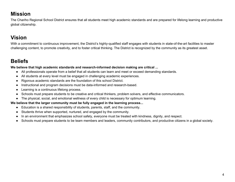# **Mission**

The Chariho Regional School District ensures that all students meet high academic standards and are prepared for lifelong learning and productive global citizenship.

# **Vision**

With a commitment to continuous improvement, the District's highly-qualified staff engages with students in state-of-the-art facilities to master challenging content, to promote creativity, and to foster critical thinking. The District is recognized by the community as its greatest asset.

# **Beliefs**

**We believe that high academic standards and research-informed decision making are critical ...**

- All professionals operate from a belief that all students can learn and meet or exceed demanding standards.
- All students at every level must be engaged in challenging academic experiences.
- Rigorous academic standards are the foundation of this school District.
- Instructional and program decisions must be data-informed and research-based.
- Learning is a continuous lifelong process.
- Schools must prepare students to be creative and critical thinkers, problem solvers, and effective communicators.
- The physical, social, and emotional wellness of every child is necessary for optimum learning.

#### **We believe that the larger community must be fully engaged in the learning process...**

- Education is a shared responsibility of students, parents, staff, and the community.
- Students thrive when supported, nurtured, and engaged by the community.
- In an environment that emphasizes school safety, everyone must be treated with kindness, dignity, and respect.
- Schools must prepare students to be team members and leaders, community contributors, and productive citizens in a global society.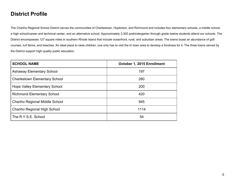## **District Profile**

The Chariho Regional School District serves the communities of Charlestown, Hopkinton, and Richmond and includes four elementary schools, a middle school, a high school/career and technical center, and an alternative school. Approximately 3,300 prekindergarten through grade twelve students attend our schools. The District encompasses 127 square miles in southern Rhode Island that include oceanfront, rural, and suburban areas. The towns boast an abundance of golf courses, turf farms, and beaches. An ideal place to raise children, one only has to visit the tri-town area to develop a fondness for it. The three towns served by the District support high-quality public education.

| <b>SCHOOL NAME</b>                   | October 1, 2015 Enrollment |
|--------------------------------------|----------------------------|
| <b>Ashaway Elementary School</b>     | 197                        |
| <b>Charlestown Elementary School</b> | 280                        |
| <b>Hope Valley Elementary School</b> | 200                        |
| <b>Richmond Elementary School</b>    | 420                        |
| Chariho Regional Middle School       | 945                        |
| <b>Chariho Regional High School</b>  | 1114                       |
| The R.Y.S.E. School                  | 54                         |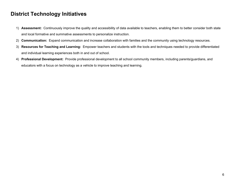### **District Technology Initiatives**

- 1) **Assessment:** Continuously improve the quality and accessibility of data available to teachers, enabling them to better consider both state and local formative and summative assessments to personalize instruction.
- 2) **Communication:** Expand communication and increase collaboration with families and the community using technology resources.
- 3) **Resources for Teaching and Learning:** Empower teachers and students with the tools and techniques needed to provide differentiated and individual learning experiences both in and out of school.
- 4) **Professional Development:** Provide professional development to all school community members, including parents/guardians, and educators with a focus on technology as a vehicle to improve teaching and learning.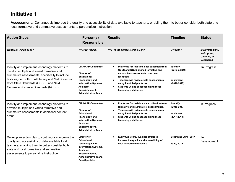# **Initiative 1**

**Assessment:** Continuously improve the quality and accessibility of data available to teachers, enabling them to better consider both state and local formative and summative assessments to personalize instruction.

| <b>Action Steps</b>                                                                                                                                                                                                                                                               | Person(s)<br><b>Responsible</b>                                                                                                                                                             | <b>Results</b>                                                                                                                                                                                                                                                                           | <b>Timeline</b>                                             | <b>Status</b>                                                      |
|-----------------------------------------------------------------------------------------------------------------------------------------------------------------------------------------------------------------------------------------------------------------------------------|---------------------------------------------------------------------------------------------------------------------------------------------------------------------------------------------|------------------------------------------------------------------------------------------------------------------------------------------------------------------------------------------------------------------------------------------------------------------------------------------|-------------------------------------------------------------|--------------------------------------------------------------------|
| What task will be done?                                                                                                                                                                                                                                                           | Who will lead it?                                                                                                                                                                           | What is the outcome of the task?                                                                                                                                                                                                                                                         | By when?                                                    | In Development,<br>In Progress,<br>Ongoing, or<br><b>Completed</b> |
| Identify and implement technology platforms to<br>develop multiple and varied formative and<br>summative assessments, specifically to include<br>tests aligned with ELA/Literacy and Math Common<br>Core State Standards (CCSS), and Next<br>Generation Science Standards (NGSS). | <b>CIPA/APP Committee</b><br>Director of<br><b>Educational</b><br><b>Technology and</b><br><b>Information Systems,</b><br><b>Assistant</b><br>Superintendent,<br><b>Administrative Team</b> | Platforms for real-time data collection from<br><b>CCSS and NGSS aligned formative and</b><br>summative assessments have been<br>identified.<br>Teachers will revise/create assessments<br>using identified platforms.<br>Students will be assessed using these<br>technology platforms. | Identify<br>(Spring, 2016)<br>Implement<br>$(2016 - 2017)$  | In Progress                                                        |
| Identify and implement technology platforms to<br>develop multiple and varied formative and<br>summative assessments in additional content<br>areas.                                                                                                                              | <b>CIPA/APP Committee</b><br>Director of<br><b>Educational</b><br>Technology and<br><b>Information Systems,</b><br><b>Assistant</b><br>Superintendent,<br><b>Administrative Team</b>        | Platforms for real-time data collection from<br>formative and summative assessments.<br>Teachers will revise/create assessments<br>$\bullet$<br>using identified platforms.<br>Students will be assessed using these<br>technology platforms.                                            | Identify<br>$(2016 - 2017)$<br>Implement<br>$(2017 - 2018)$ | In Progress                                                        |
| Develop an action plan to continuously improve the<br>quality and accessibility of data available to all<br>teachers, enabling them to better consider both<br>state and local formative and summative<br>assessments to personalize instruction.                                 | Director of<br><b>Educational</b><br>Technology and<br><b>Information Systems,</b><br><b>Assistant</b><br>Superintendent,<br><b>Administrative Team,</b><br><b>Data Specialist</b>          | Every two years, evaluate efforts to<br>improve the quality and accessibility of<br>data available to teachers.                                                                                                                                                                          | Beginning June, 2017<br>June, 2019                          | -ln<br>Development                                                 |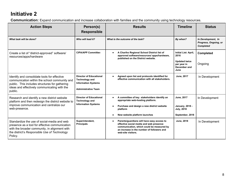# **Initiative 2**

**Communication:** Expand communication and increase collaboration with families and the community using technology resources.

| <b>Action Steps</b>                                                                                                                                                                                        | Person(s)<br><b>Responsible</b>                                                                                     | <b>Results</b>                                                                                                                                                                                         | <b>Timeline</b>                                                                             | <b>Status</b>                                                   |
|------------------------------------------------------------------------------------------------------------------------------------------------------------------------------------------------------------|---------------------------------------------------------------------------------------------------------------------|--------------------------------------------------------------------------------------------------------------------------------------------------------------------------------------------------------|---------------------------------------------------------------------------------------------|-----------------------------------------------------------------|
| What task will be done?                                                                                                                                                                                    | Who will lead it?                                                                                                   | What is the outcome of the task?                                                                                                                                                                       | By when?                                                                                    | In Development, In<br>Progress, Ongoing, or<br><b>Completed</b> |
| Create a list of "district-approved" software/<br>resources/apps/hardware                                                                                                                                  | <b>CIPA/APP Committee</b>                                                                                           | A Chariho Regional School District list of<br>approved software/resources/ apps/hardware,<br>published on the District website.                                                                        | Initial List: April,<br>2016<br><b>Updated twice</b><br>per year in<br>December and<br>June | <b>Completed</b><br>Ongoing                                     |
| Identify and consolidate tools for effective<br>communication within the school community and<br>public. This includes structures for gathering<br>ideas and effectively communicating with the<br>public. | <b>Director of Educational</b><br><b>Technology and</b><br><b>Information Systems</b><br><b>Administrative Team</b> | Agreed upon list and protocols identified for<br>effective communication with all stakeholders.                                                                                                        | June, 2017                                                                                  | In Development                                                  |
| Research and identify a new district website<br>platform and then redesign the district website to<br>improve communication and centralize our<br>web-presence.                                            | <b>Director of Educational</b><br><b>Technology and</b><br><b>Information Systems</b>                               | A committee of key stakeholders identify an<br>appropriate web-hosting platform.<br>Purchase and design a new district website<br>platform<br>New website platform launches                            | June, 2017<br><b>January, 2018 -</b><br><b>July, 2018</b><br>September, 2018                | In Development                                                  |
| Standardize the use of social-media and web<br>presence as a tool for effective communication<br>with the broader community, in alignment with<br>the district's Responsible Use of Technology<br>Policy.  | Superintendent,<br><b>Principals</b>                                                                                | Parents/guardians will have easy access to<br>effective social media and web presence<br>communication, which could be measured by<br>an increase in the number of followers and<br>web-site visitors. | <b>June, 2018</b>                                                                           | In Development                                                  |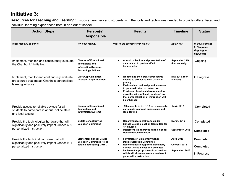# **Initiative 3:**

**Resources for Teaching and Learning:** Empower teachers and students with the tools and techniques needed to provide differentiated and individual learning experiences both in and out of school.

| <b>Action Steps</b>                                                                                                         | Person(s)<br><b>Responsible</b>                                                                                     | <b>Results</b>                                                                                                                                                                                                                                                                                                                                  | <b>Timeline</b>                                 | <b>Status</b>                                                      |
|-----------------------------------------------------------------------------------------------------------------------------|---------------------------------------------------------------------------------------------------------------------|-------------------------------------------------------------------------------------------------------------------------------------------------------------------------------------------------------------------------------------------------------------------------------------------------------------------------------------------------|-------------------------------------------------|--------------------------------------------------------------------|
| What task will be done?                                                                                                     | Who will lead it?                                                                                                   | What is the outcome of the task?                                                                                                                                                                                                                                                                                                                | By when?                                        | In Development,<br>In Progress,<br>Ongoing, or<br><b>Completed</b> |
| Implement, monitor, and continuously evaluate<br>the Chariho 1:1 initiative.                                                | <b>Director of Educational</b><br><b>Technology and</b><br><b>Information Systems,</b><br><b>Technology Fellows</b> | Annual collection and presentation of<br>data related to pre-identified<br>benchmarks.                                                                                                                                                                                                                                                          | September 2016,<br>then annually                | Ongoing                                                            |
| Implement, monitor and continuously evaluate<br>procedures that impact Chariho's personalized<br>learning initiative.       | <b>CIPA/App Committee,</b><br><b>Assistant Superintendent</b>                                                       | Identify and then create procedures<br>$\bullet$<br>needed to protect student data and<br>privacy.<br>Evaluate instructional practices related<br>$\bullet$<br>to personalization of instruction.<br>Provide professional development to<br>grow the skills of faculty and staff so<br>that personalization of instruction will<br>be enhanced. | May 2016, then<br>annually                      | In Progress                                                        |
| Provide access to reliable devices for all<br>students to participate in annual online state<br>and local testing.          | <b>Director of Educational</b><br><b>Technology and</b><br><b>Information Systems</b>                               | All students in Gr. K-12 have access to<br>participate in annual online state and<br>local testing.                                                                                                                                                                                                                                             | April, 2017                                     | <b>Completed</b>                                                   |
| Provide the technological hardware that will<br>significantly and positively impact Grades 5-8<br>personalized instruction. | <b>Middle School Device</b><br><b>Selection Committee</b>                                                           | <b>Recommendation(s) from Middle</b><br>$\bullet$<br><b>School Device Selection Committee for</b><br>1:1 devices.<br>Implement 1:1 approved Middle School<br><b>Device Recommendation.</b>                                                                                                                                                      | <b>March, 2016</b><br>September, 2016           | <b>Completed</b><br><b>Completed</b>                               |
| Provide the technical hardware that will<br>significantly and positively impact Grades K-4<br>personalized instruction.     | <b>Elementary School Device</b><br><b>Selection Committee (to be</b><br>established Spring, 2016).                  | <b>Formation of Elementary School</b><br><b>Device Selection Committee</b><br><b>Recommendation(s) from Elementary</b><br>$\bullet$<br><b>School Device Selection Committee.</b><br>Implement appropriate ratio of devices<br>$\bullet$<br>which will allow elementary teachers to<br>personalize instruction.                                  | April, 2016<br>October, 2016<br>September, 2018 | <b>Completed</b><br>Completed<br>In Progress                       |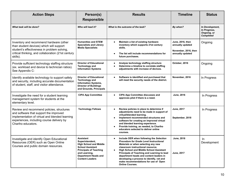| <b>Action Steps</b>                                                                                                                                                                                      | Person(s)<br><b>Responsible</b>                                                                                                                                                                     | <b>Results</b>                                                                                                                                                                                                                                                                                                                                                                                                                                        | <b>Timeline</b>                                                                  | <b>Status</b>                                                      |
|----------------------------------------------------------------------------------------------------------------------------------------------------------------------------------------------------------|-----------------------------------------------------------------------------------------------------------------------------------------------------------------------------------------------------|-------------------------------------------------------------------------------------------------------------------------------------------------------------------------------------------------------------------------------------------------------------------------------------------------------------------------------------------------------------------------------------------------------------------------------------------------------|----------------------------------------------------------------------------------|--------------------------------------------------------------------|
| What task will be done?                                                                                                                                                                                  | Who will lead it?                                                                                                                                                                                   | What is the outcome of the task?                                                                                                                                                                                                                                                                                                                                                                                                                      | By when?                                                                         | In Development,<br>In Progress,<br>Ongoing, or<br><b>Completed</b> |
| Inventory and recommend hardware (other<br>than student devices) which will support<br>student's effectiveness in problem solving,<br>critical thinking, and collaboration (21st century<br>skills).     | <b>Humanities and STEM</b><br><b>Specialists and Library</b><br><b>Media Specialists</b>                                                                                                            | Maintain a list of existing hardware<br>inventory which supports 21st century<br>skills.<br>The list will include recommendations for<br>$\bullet$<br>future purchases.                                                                                                                                                                                                                                                                               | June, 2016, then<br>annually updated<br>November, 2016, then<br>annually updated | Ongoing                                                            |
| Provide sufficient technology staffing structure<br>(ex. workload and device to technician ratios).<br>See Appendix C:                                                                                   | <b>Director of Educational</b><br><b>Technology and</b><br><b>Information Systems</b>                                                                                                               | Analyze technology staffing structure<br>$\bullet$<br>Determine a timeline to correlate staffing<br>$\bullet$<br>adjustments with increase of devices.                                                                                                                                                                                                                                                                                                | October, 2016                                                                    | Ongoing                                                            |
| Identify available technology to support safety<br>and security, including accurate documentation<br>of student, staff, and visitor attendance.                                                          | <b>Director of Educational</b><br><b>Technology and</b><br><b>Information Systems,</b><br><b>Director of Buildings</b><br>and Grounds, Principals                                                   | Software is identified and purchased that<br>will meet the security needs of the district.                                                                                                                                                                                                                                                                                                                                                            | November, 2016                                                                   | In Progress                                                        |
| Investigate the need for a student learning<br>management system for students at the<br>elementary level.                                                                                                | <b>CIPA App Committee</b>                                                                                                                                                                           | <b>CIPA App Committee discusses and</b><br>$\bullet$<br>approves pilot if there is a need.                                                                                                                                                                                                                                                                                                                                                            | June, 2016                                                                       | In Progress                                                        |
| Review and recommend policies, structures<br>and software that support the improved<br>implementation of virtual and blended learning<br>experiences, including course delivery by<br>Chariho educators. | <b>Technology Fellows</b>                                                                                                                                                                           | Review policies in place to determine if<br>$\bullet$<br>adjustments need to be made in support of<br>virtual/blended learning.<br>Implement recommended structures and<br>$\bullet$<br>software for creating an improved virtual<br>and blended learning experience.<br>Provide training, as needed, to Chariho<br>$\bullet$<br>educators selected to deliver online<br>courses.                                                                     | June, 2017<br>September, 2018                                                    | In Progress                                                        |
| Investigate and identify Open Educational<br>Resources (OER) such as Open Online<br>Courses and public domain resources.                                                                                 | Assistant<br>Superintendent,<br><b>High School and Middle</b><br><b>School Assistant</b><br><b>Principals of Teaching</b><br>and Learning,<br><b>Department Heads and</b><br><b>Content Leaders</b> | Include OER when following the Selection<br><b>Procedure for Grade Level Instructional</b><br><i>Materials</i> or when selecting any new<br>classroom instructional resource.<br><b>High School and Middle School Assistant</b><br>$\bullet$<br>Principals of Teaching and Learning to lead<br>department heads and content leaders in<br>developing a process to identify, vet and<br>make recommendations for use of Open<br><b>Online Courses.</b> | June, 2016<br>June, 2017                                                         | -In<br>Development                                                 |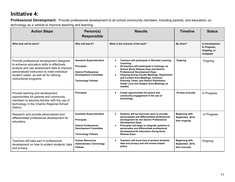# **Initiative 4:**

**Professional Development:** Provide professional development to all school community members, including parents, and educators, on technology as a vehicle to improve teaching and learning.

| <b>Action Steps</b>                                                                                                                                                                                                                                       | Person(s)<br><b>Responsible</b>                                                                                                                   | <b>Results</b>                                                                                                                                                                                                                                                                                                                                                                                             | <b>Timeline</b>                                            | <b>Status</b>                                                     |
|-----------------------------------------------------------------------------------------------------------------------------------------------------------------------------------------------------------------------------------------------------------|---------------------------------------------------------------------------------------------------------------------------------------------------|------------------------------------------------------------------------------------------------------------------------------------------------------------------------------------------------------------------------------------------------------------------------------------------------------------------------------------------------------------------------------------------------------------|------------------------------------------------------------|-------------------------------------------------------------------|
| What task will be done?                                                                                                                                                                                                                                   | Who will lead it?                                                                                                                                 | What is the outcome of the task?                                                                                                                                                                                                                                                                                                                                                                           | By when?                                                   | In Development,<br>In Progress,<br>Ongoing, or<br><b>Complete</b> |
| Provide professional development designed<br>to enhance educators skills to effectively<br>analyze and use assessment data to improve<br>personalized instruction to meet individual<br>student needs, as well as for refining<br>instructional programs. | <b>Assistant Superintendent</b><br><b>Principals</b><br><b>District Professional</b><br><b>Development Committee</b><br><b>Technology Fellows</b> | Teachers will participate in Blended Learning<br>Coaching.<br>All teachers will participate in trainings via<br>School (Early Release Day) and District<br><b>Professional Development Days</b><br><b>Ongoing during Faculty Meetings, Department</b><br>and Content Area Meetings, Common<br><b>Planning Times, and District Elementary</b><br><b>Grade Level and Subject Area Meetings as</b><br>needed. | Ongoing                                                    | Ongoing                                                           |
| Provide learning and development<br>opportunities for parents and community<br>members to become familiar with the use of<br>technology in the Chariho Regional School<br>District.                                                                       | <b>Principals</b>                                                                                                                                 | Create opportunities for parent and<br>community engagement in the use of<br>technology.                                                                                                                                                                                                                                                                                                                   | At least annually                                          | In Progress                                                       |
| Research and provide personalized and<br>differentiated professional development for<br>educators.                                                                                                                                                        | <b>Assistant Superintendent</b><br><b>Principals</b><br><b>District Professional</b><br><b>Development Committee</b><br><b>Technology Fellows</b> | Systems will be improved upon to provide<br>$\bullet$<br>personalized and differentiated professional<br>development for the District Professional<br><b>Development Days.</b><br>Principals will begin to integrate systems to<br>personalize and differentiate professional<br>development for educators during Early<br>Release Days.                                                                   | <b>Beginning with</b><br>September, 2016,<br>then ongoing  | In Progress                                                       |
| Teachers will take part in professional<br>development on how to protect students' data<br>and privacy.                                                                                                                                                   | <b>Human Resources</b><br>Administrator, Technology<br><b>Fellows</b>                                                                             | Teachers will know how to protect students'<br>data and privacy and will review related<br>policy.                                                                                                                                                                                                                                                                                                         | <b>Beginning with</b><br>September, 2016,<br>then annually | Ongoing                                                           |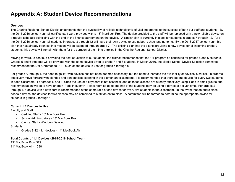## **Appendix A: Student Device Recommendations**

#### **Devices**

The Chariho Regional School District understands that the availability of reliable technology is of vital importance to the success of both our staff and students. By the 2015-2016 school year, all certified staff were provided with a 13" MacBook Pro. The device provided to the staff will be replaced with a new reliable device on a regular schedule coinciding with the end of the finance agreement on the device. A similar plan is currently in place for students in grades 7 through 12. As of the 2015-2016 school year, all students in grades 8 through 12 will have their own device to use at both school and at home. By the 2016-2017 school year, this plan that has already been set into motion will be extended through grade 7. The existing plan has the district providing a new device for all incoming grade 9 students, this device will remain with them for the duration of their time enrolled in the Chariho Regional School District.

Moving forward, to continue providing the best education to our students, the district recommends that the 1:1 program be continued for grades 5 and 6 students. Grades 5 and 6 students will be provided with the same device given to grade 7 and 8 students. In March 2016, the Middle School Device Selection committee recommended the Dell Chromebook 11 Touch as the device to use for grades 5 through 8.

For grades K through 4, the need to go 1:1 with devices has not been deemed necessary, but the need to increase the availability of devices is critical. In order to effectively move forward with blended and personalized learning in the elementary classrooms, it is recommended that there be one device for every two students in each classroom. For grades K and 1, since the use of a keyboard is not essential, and as these classes are already effectively using iPads in small groups, the recommendation will be to have enough iPads in every K-1 classroom so up to one half of the students may be using a device at a given time. For grades 2 through 4, a device with a keyboard is recommended at the same ratio of one device for every two students in the classroom. In the event that an entire class needs a device, the devices for two classes may be combined to outfit an entire class. A committee will be formed to determine the appropriate device for students in grades 2 through 4.

#### **Current 1:1 Devices In Use:**

Faculty and Staff

- Certified Staff 13" MacBook Pro
- School Administrators 13" MacBook Pro
- Clerical Staff Windows Desktop

#### **Students**

- Grades 8-12 - 1:1 devices - 11" MacBook Air

#### **Total Counts of 1:1 Devices (2015-2016 School Year):**

13" MacBook Pro - 379 11" MacBook Air - 1538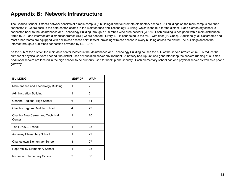## **Appendix B: Network Infrastructure**

The Chariho School District's network consists of a main campus (6 buildings) and four remote elementary schools. All buildings on the main campus are fiber connected (1 Gbps) back to the data center located in the Maintenance and Technology Building, which is the hub for the district. Each elementary school is connected back to the Maintenance and Technology Building through a 100 Mbps wide area network (WAN). Each building is designed with a main distribution frame (MDF) and intermediate distribution frames (IDF) where needed. Every IDF is connected to the MDF with fiber (10 Gbps). Additionally, all classrooms and most other rooms are equipped with a wireless access point (WAP), providing wireless access in every building across the district. All buildings access the Internet through a 500 Mbps connection provided by OSHEAN.

As the hub of the district, the main data center located in the Maintenance and Technology Building houses the bulk of the server infrastructure. To reduce the number of physical servers needed, the district uses a virtualized server environment. A battery backup unit and generator keep the servers running at all times. Additional servers are located in the high school, to be primarily used for backup and security. Each elementary school has one physical server as well as a phone gateway.

| <b>BUILDING</b>                             | <b>MDF/IDF</b> | <b>WAP</b> |
|---------------------------------------------|----------------|------------|
| Maintenance and Technology Building         | 1              | 2          |
| <b>Administration Building</b>              | 1              | 6          |
| Chariho Regional High School                | 6              | 84         |
| Chariho Regional Middle School              | 4              | 79         |
| Chariho Area Career and Technical<br>Center | 1              | 20         |
| The R.Y.S.E School                          | 1              | 23         |
| Ashaway Elementary School                   | 1              | 22         |
| <b>Charlestown Elementary School</b>        | 3              | 27         |
| <b>Hope Valley Elementary School</b>        | 1              | 23         |
| <b>Richmond Elementary School</b>           | 2              | 36         |